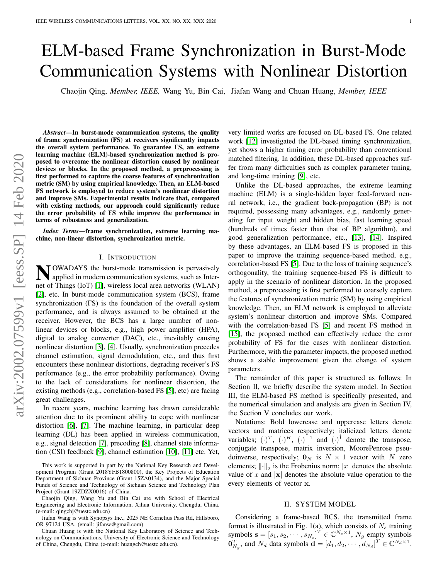# ELM-based Frame Synchronization in Burst-Mode Communication Systems with Nonlinear Distortion

Chaojin Qing, *Member, IEEE,* Wang Yu, Bin Cai, Jiafan Wang and Chuan Huang, *Member, IEEE*

*Abstract*—In burst-mode communication systems, the quality of frame synchronization (FS) at receivers significantly impacts the overall system performance. To guarantee FS, an extreme learning machine (ELM)-based synchronization method is proposed to overcome the nonlinear distortion caused by nonlinear devices or blocks. In the proposed method, a preprocessing is first performed to capture the coarse features of synchronization metric (SM) by using empirical knowledge. Then, an ELM-based FS network is employed to reduce system's nonlinear distortion and improve SMs. Experimental results indicate that, compared with existing methods, our approach could significantly reduce the error probability of FS while improve the performance in terms of robustness and generalization.

*Index Terms*—frame synchronization, extreme learning machine, non-linear distortion, synchronization metric.

# I. INTRODUCTION

N OWADAYS the burst-mode transmission is pervasively<br>applied in modern communication systems, such as Interapplied in modern communication systems, such as Internet of Things (IoT) [\[1\]](#page-4-0), wireless local area networks (WLAN) [\[2\]](#page-4-1), etc. In burst-mode communication system (BCS), frame synchronization (FS) is the foundation of the overall system performance, and is always assumed to be obtained at the receiver. However, the BCS has a large number of nonlinear devices or blocks, e.g., high power amplifier (HPA), digital to analog converter (DAC), etc., inevitably causing nonlinear distortion [\[3\]](#page-4-2), [\[4\]](#page-4-3). Usually, synchronization precedes channel estimation, signal demodulation, etc., and thus first encounters these nonlinear distortions, degrading receiver's FS performance (e.g., the error probability performance). Owing to the lack of considerations for nonlinear distortion, the existing methods (e.g., correlation-based FS [\[5\]](#page-4-4), etc) are facing great challenges.

In recent years, machine learning has drawn considerable attention due to its prominent ability to cope with nonlinear distortion [\[6\]](#page-4-5), [\[7\]](#page-4-6). The machine learning, in particular deep learning (DL) has been applied in wireless communication, e.g., signal detection [\[7\]](#page-4-6), precoding [\[8\]](#page-4-7), channel state information (CSI) feedback [\[9\]](#page-4-8), channel estimation [\[10\]](#page-4-9), [\[11\]](#page-4-10) etc. Yet,

This work is supported in part by the National Key Research and Development Program (Grant 2018YFB1800800), the Key Projects of Education Department of Sichuan Province (Grant 15ZA0134), and the Major Special Funds of Science and Technology of Sichuan Science and Technology Plan Project (Grant 19ZDZX0016) of China.

Chaojin Qing, Wang Yu and Bin Cai are with School of Electrical Engineering and Electronic Information, Xihua University, Chengdu, China. (e-mail: qingchj@uestc.edu.cn)

Jiafan Wang is with Synopsys Inc., 2025 NE Cornelius Pass Rd, Hillsboro, OR 97124 USA. (email: jifanw@gmail.com)

Chuan Huang is with the National Key Laboratory of Science and Technology on Communications, University of Electronic Science and Technology of China, Chengdu, China (e-mail: huangch@uestc.edu.cn).

very limited works are focused on DL-based FS. One related work [\[12\]](#page-4-11) investigated the DL-based timing synchronization, yet shows a higher timing error probability than conventional matched filtering. In addition, these DL-based approaches suffer from many difficulties such as complex parameter tuning, and long-time training [\[9\]](#page-4-8), etc.

Unlike the DL-based approaches, the extreme learning machine (ELM) is a single-hidden layer feed-forward neural network, i.e., the gradient back-propagation (BP) is not required, possessing many advantages, e.g., randomly generating for input weight and hidden bias, fast learning speed (hundreds of times faster than that of BP algorithm), and good generalization performance, etc., [\[13\]](#page-4-12), [\[14\]](#page-4-13). Inspired by these advantages, an ELM-based FS is proposed in this paper to improve the training sequence-based method, e.g., correlation-based FS [\[5\]](#page-4-4). Due to the loss of training sequence's orthogonality, the training sequence-based FS is difficult to apply in the scenario of nonlinear distortion. In the proposed method, a preprocessing is first performed to coarsely capture the features of synchronization metric (SM) by using empirical knowledge. Then, an ELM network is employed to alleviate system's nonlinear distortion and improve SMs. Compared with the correlation-based FS [\[5\]](#page-4-4) and recent FS method in [\[15\]](#page-4-14), the proposed method can effectively reduce the error probability of FS for the cases with nonlinear distortion. Furthermore, with the parameter impacts, the proposed method shows a stable improvement given the change of system parameters.

The remainder of this paper is structured as follows: In Section II, we briefly describe the system model. In Section III, the ELM-based FS method is specifically presented, and the numerical simulation and analysis are given in Section IV, the Section V concludes our work.

Notations: Bold lowercase and uppercase letters denote vectors and matrices respectively; italicized letters denote variables;  $(\cdot)^T$ ,  $(\cdot)^H$ ,  $(\cdot)^{-1}$  and  $(\cdot)^{\dagger}$  denote the transpose, conjugate transpose, matrix inversion, MoorePenrose pseudoinverse, respectively;  $\mathbf{0}_N$  is  $N \times 1$  vector with N zero elements;  $\left\| \cdot \right\|_2$  is the Frobenius norm;  $|x|$  denotes the absolute value of x and  $|x|$  denotes the absolute value operation to the every elements of vector x.

#### II. SYSTEM MODEL

Considering a frame-based BCS, the transmitted frame format is illustrated in Fig. 1(a), which consists of  $N_s$  training symbols  $\mathbf{s} = [s_1, s_2, \cdots, s_{N_s}]^T \in \mathbb{C}^{N_s \times 1}$ ,  $N_g$  empty symbols  $\mathbf{0}_{N_g}^T$ , and  $N_d$  data symbols  $\mathbf{d} = \left[d_1, d_2, \cdots, d_{N_d}\right]^T \in \mathbb{C}^{N_d \times 1}$ .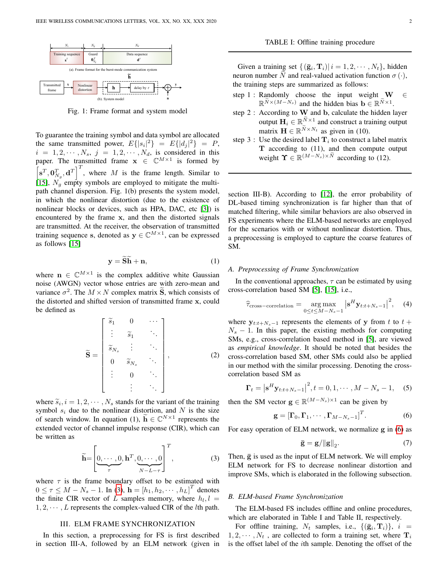

Fig. 1: Frame format and system model

To guarantee the training symbol and data symbol are allocated the same transmitted power,  $E\{|s_i|^2\} = E\{|d_j|^2\} = P$ ,  $i = 1, 2, \cdots, N_s, j = 1, 2, \cdots, N_d$ , is considered in this paper. The transmitted frame  $x \in \mathbb{C}^{M \times 1}$  is formed by  $\left[\mathbf{s}^T, \mathbf{0}_{N_g}^T, \mathbf{d}^T\right]^T$ , where M is the frame length. Similar to [\[15\]](#page-4-14),  $N_q$  empty symbols are employed to mitigate the multipath channel dispersion. Fig. 1(b) presents the system model, in which the nonlinear distortion (due to the existence of nonlinear blocks or devices, such as HPA, DAC, etc [\[3\]](#page-4-2)) is encountered by the frame x, and then the distorted signals are transmitted. At the receiver, the observation of transmitted training sequence s, denoted as  $y \in \mathbb{C}^{M \times 1}$ , can be expressed as follows [\[15\]](#page-4-14)

<span id="page-1-4"></span>
$$
y = \widetilde{Sh} + n,\tag{1}
$$

where  $\mathbf{n} \in \mathbb{C}^{M \times 1}$  is the complex additive white Gaussian noise (AWGN) vector whose entries are with zero-mean and variance  $\sigma^2$ . The  $M \times N$  complex matrix  $\tilde{S}$ , which consists of the distorted and shifted version of transmitted frame x, could be defined as

$$
\widetilde{\mathbf{S}} = \begin{bmatrix} \widetilde{s}_1 & 0 & \cdots \\ \vdots & \widetilde{s}_1 & \ddots \\ \widetilde{s}_{N_s} & \vdots & \ddots \\ 0 & \widetilde{s}_{N_s} & \ddots \\ \vdots & 0 & \ddots \\ \vdots & \ddots \end{bmatrix}, \qquad (2)
$$

where  $\tilde{s}_i, i = 1, 2, \dots, N_s$  stands for the variant of the training<br>symbol, a, due to the poplinear distortion, and N is the size symbol  $s_i$  due to the nonlinear distortion, and N is the size of search window. In equation (1),  $\widetilde{\mathbf{h}} \in \mathbb{C}^{N \times 1}$  represents the extended vector of channel impulse response (CIR), which can be written as

<span id="page-1-0"></span>
$$
\widetilde{\mathbf{h}} = \left[ \underbrace{0, \cdots, 0}_{\tau}, \mathbf{h}^T, \underbrace{0, \cdots, 0}_{N-L-\tau} \right]^T, \tag{3}
$$

where  $\tau$  is the frame boundary offset to be estimated with  $0 \le \tau \le M - N_s - 1$ . In [\(3\)](#page-1-0),  $\mathbf{h} = [h_1, h_2, \cdots, h_L]^T$  denotes the finite CIR vector of L samples memory, where  $h_l, l =$  $1, 2, \cdots, L$  represents the complex-valued CIR of the *l*th path.

# III. ELM FRAME SYNCHRONIZATION

In this section, a preprocessing for FS is first described in section III-A, followed by an ELM network (given in

Given a training set  $\{(\bar{\mathbf{g}}_i, \mathbf{T}_i) | i = 1, 2, \cdots, N_t\}$ , hidden neuron number N and real-valued activation function  $\sigma(\cdot)$ , the training steps are summarized as follows:

- step 1 : Randomly choose the input weight  $W \in$  $\mathbb{R}^{\tilde{N} \times (M-N_s)}$  and the hidden bias  $\mathbf{b} \in \mathbb{R}^{\tilde{N} \times 1}$ .
- step 2 : According to W and b, calculate the hidden layer output  $\mathbf{H}_i \in \mathbb{R}^{\tilde{N} \times 1}$  and construct a training output matrix  $\mathbf{H} \in \mathbb{R}^{\tilde{N} \times N_t}$  as given in (10).
- step 3 : Use the desired label  $T_i$  to construct a label matrix  $T$  according to  $(11)$ , and then compute output weight  $\Upsilon \in \mathbb{R}^{(M-N_s)\times \tilde{N}}$  according to (12).

section III-B). According to [\[12\]](#page-4-11), the error probability of DL-based timing synchronization is far higher than that of matched filtering, while similar behaviors are also observed in FS experiments where the ELM-based networks are employed for the scenarios with or without nonlinear distortion. Thus, a preprocessing is employed to capture the coarse features of SM.

# *A. Preprocessing of Frame Synchronization*

In the conventional approaches,  $\tau$  can be estimated by using cross-correlation based SM [\[5\]](#page-4-4), [\[15\]](#page-4-14), i.e.,

$$
\widehat{\tau}_{\text{cross-correlation}} = \underset{0 \leq t \leq M - N_s - 1}{\arg \max} \left| \mathbf{s}^H \mathbf{y}_{t:t+N_s - 1} \right|^2, \quad (4)
$$

where  $y_{t:t+N_s-1}$  represents the elements of y from t to  $t +$  $N_s - 1$ . In this paper, the existing methods for computing SMs, e.g., cross-correlation based method in [\[5\]](#page-4-4), are viewed as *empirical knowledge*. It should be noted that besides the cross-correlation based SM, other SMs could also be applied in our method with the similar processing. Denoting the crosscorrelation based SM as

<span id="page-1-2"></span>
$$
\Gamma_t = \left| \mathbf{s}^H \mathbf{y}_{t:t+N_s-1} \right|^2, t = 0, 1, \cdots, M - N_s - 1,
$$
 (5)

then the SM vector  $\mathbf{g} \in \mathbb{R}^{(M-N_s) \times 1}$  can be given by

<span id="page-1-1"></span>
$$
\mathbf{g} = \left[\mathbf{\Gamma}_0, \mathbf{\Gamma}_1, \cdots, \mathbf{\Gamma}_{M-N_s-1}\right]^T. \tag{6}
$$

For easy operation of ELM network, we normalize g in [\(6\)](#page-1-1) as

<span id="page-1-3"></span>
$$
\bar{\mathbf{g}} = \mathbf{g}/\|\mathbf{g}\|_2. \tag{7}
$$

Then,  $\bar{g}$  is used as the input of ELM network. We will employ ELM network for FS to decrease nonlinear distortion and improve SMs, which is elaborated in the following subsection.

## *B. ELM-based Frame Synchronization*

The ELM-based FS includes offline and online procedures, which are elaborated in Table I and Table II, respectively.

For offline training,  $N_t$  samples, i.e.,  $\{(\bar{\mathbf{g}}_i, \mathbf{T}_i)\}, i =$  $1, 2, \dots, N_t$ , are collected to form a training set, where  $\mathbf{T}_i$ is the offset label of the ith sample. Denoting the offset of the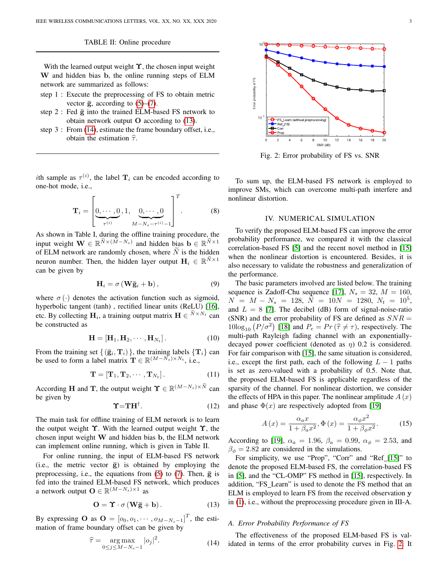#### TABLE II: Online procedure

With the learned output weight  $\Upsilon$ , the chosen input weight W and hidden bias b, the online running steps of ELM network are summarized as follows:

- step 1 : Execute the preprocessing of FS to obtain metric vector  $\bar{g}$ , according to [\(5\)](#page-1-2)–[\(7\)](#page-1-3).
- step 2 : Fed  $\bar{g}$  into the trained ELM-based FS network to obtain network output O according to [\(13\)](#page-2-0).
- step 3 : From [\(14\)](#page-2-1), estimate the frame boundary offset, i.e., obtain the estimation  $\hat{\tau}$ .

*i*th sample as  $\tau^{(i)}$ , the label  $\mathbf{T}_i$  can be encoded according to one-hot mode, i.e.,

$$
\mathbf{T}_{i} = \left[ \underbrace{0, \cdots, 0}_{\tau^{(i)}}, 1, \underbrace{0, \cdots, 0}_{M-N_{s}-\tau^{(i)}-1} \right]^{T}.
$$
 (8)

As shown in Table I, during the offline training procedure, the input weight  $\mathbf{W} \in \mathbb{R}^{\tilde{N} \times (M-N_s)}$  and hidden bias  $\mathbf{b} \in \mathbb{R}^{\tilde{N} \times 1}$ of ELM network are randomly chosen, where  $N$  is the hidden neuron number. Then, the hidden layer output  $\mathbf{H}_i \in \mathbb{R}^{\tilde{N} \times 1}$ can be given by

$$
\mathbf{H}_{i} = \sigma \left( \mathbf{W} \bar{\mathbf{g}}_{i} + \mathbf{b} \right), \tag{9}
$$

where  $\sigma(\cdot)$  denotes the activation function such as sigmoid, hyperbolic tangent (tanh), rectified linear units (ReLU) [\[16\]](#page-4-15), etc. By collecting  $\mathbf{H}_i$ , a training output matrix  $\mathbf{H} \in {}^{N \times N_t}$  can be constructed as

$$
\mathbf{H} = [\mathbf{H}_1, \mathbf{H}_2, \cdots, \mathbf{H}_{N_t}]. \tag{10}
$$

From the training set  $\{(\bar{\mathbf{g}}_i, \mathbf{T}_i)\}\)$ , the training labels  $\{\mathbf{T}_i\}$  can be used to form a label matrix  $\mathbf{T} \in \mathbb{R}^{(M-N_s) \times N_t}$ , i.e.,

$$
\mathbf{T} = [\mathbf{T}_1, \mathbf{T}_2, \cdots, \mathbf{T}_{N_t}]. \tag{11}
$$

According **H** and **T**, the output weight  $\Upsilon \in \mathbb{R}^{(M-N_s)\times \tilde{N}}$  can be given by

$$
\Upsilon = TH^{\dagger}.
$$
 (12)

The main task for offline training of ELM network is to learn the output weight  $\Upsilon$ . With the learned output weight  $\Upsilon$ , the chosen input weight W and hidden bias b, the ELM network can implement online running, which is given in Table II.

For online running, the input of ELM-based FS network (i.e., the metric vector  $\bar{g}$ ) is obtained by employing the preprocessing, i.e., the equations from  $(5)$  to  $(7)$ . Then,  $\bar{g}$  is fed into the trained ELM-based FS network, which produces a network output  $\mathbf{O} \in \mathbb{R}^{(M-N_s) \times 1}$  as

<span id="page-2-0"></span>
$$
\mathbf{O} = \mathbf{\Upsilon} \cdot \sigma \left( \mathbf{W} \mathbf{\overline{g}} + \mathbf{b} \right). \tag{13}
$$

By expressing O as  $O = [o_0, o_1, \dots, o_{M-N_s-1}]^T$ , the estimation of frame boundary offset can be given by

<span id="page-2-1"></span>
$$
\widehat{\tau} = \underset{0 \le j \le M - N_s - 1}{\arg \max} |o_j|^2. \tag{14}
$$

<span id="page-2-2"></span>

Fig. 2: Error probability of FS vs. SNR

To sum up, the ELM-based FS network is employed to improve SMs, which can overcome multi-path interfere and nonlinear distortion.

# IV. NUMERICAL SIMULATION

To verify the proposed ELM-based FS can improve the error probability performance, we compared it with the classical correlation-based FS [\[5\]](#page-4-4) and the recent novel method in [\[15\]](#page-4-14) when the nonlinear distortion is encountered. Besides, it is also necessary to validate the robustness and generalization of the performance.

The basic parameters involved are listed below. The training sequence is Zadoff-Chu sequence [\[17\]](#page-4-16),  $N_s = 32$ ,  $M = 160$ ,  $N = M - N_s = 128, \tilde{N} = 10N = 1280, N_t = 10^5,$ and  $L = 8$  [\[7\]](#page-4-6). The decibel (dB) form of signal-noise-ratio (SNR) and the error probability of FS are defined as  $SNR =$  $10\log_{10} (P/\sigma^2)$  [\[18\]](#page-4-17) and  $P_e = Pr(\hat{\tau} \neq \tau)$ , respectively. The multi path Bayleigh foding channel with an exponentially multi-path Rayleigh fading channel with an exponentiallydecayed power coefficient (denoted as  $\eta$ ) 0.2 is considered. For fair comparison with [\[15\]](#page-4-14), the same situation is considered, i.e., except the first path, each of the following  $L - 1$  paths is set as zero-valued with a probability of 0.5. Note that, the proposed ELM-based FS is applicable regardless of the sparsity of the channel. For nonlinear distortion, we consider the effects of HPA in this paper. The nonlinear amplitude  $A(x)$ and phase  $\Phi(x)$  are respectively adopted from [\[19\]](#page-4-18)

$$
A\left(x\right) = \frac{\alpha_a x}{1 + \beta_a x^2}, \Phi\left(x\right) = \frac{\alpha_\phi x^2}{1 + \beta_\phi x^2}.\tag{15}
$$

According to [\[19\]](#page-4-18),  $\alpha_a = 1.96$ ,  $\beta_a = 0.99$ ,  $\alpha_{\phi} = 2.53$ , and  $\beta_{\phi} = 2.82$  are considered in the simulations.

For simplicity, we use "Prop", "Corr" and "Ref [\[15\]](#page-4-14)" to denote the proposed ELM-based FS, the correlation-based FS in [\[5\]](#page-4-4), and the "CL-OMP" FS method in [\[15\]](#page-4-14), respectively. In addition, "FS Learn" is used to denote the FS method that an ELM is employed to learn FS from the received observation y in [\(1\)](#page-1-4), i.e., without the preprocessing procedure given in III-A.

## *A. Error Probability Performance of FS*

The effectiveness of the proposed ELM-based FS is validated in terms of the error probability curves in Fig. [2.](#page-2-2) It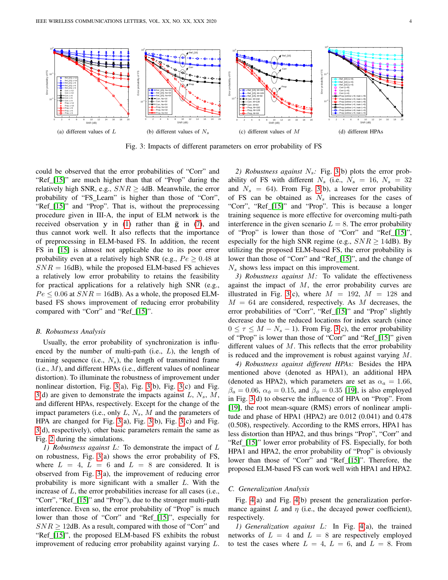<span id="page-3-0"></span>

Fig. 3: Impacts of different parameters on error probability of FS

could be observed that the error probabilities of "Corr" and "Ref [\[15\]](#page-4-14)" are much higher than that of "Prop" during the relatively high SNR, e.g.,  $SNR \geq 4$ dB. Meanwhile, the error probability of "FS Learn" is higher than those of "Corr", "Ref [\[15\]](#page-4-14)" and "Prop". That is, without the preprocessing procedure given in III-A, the input of ELM network is the received observation y in [\(1\)](#page-1-4) rather than  $\bar{g}$  in [\(7\)](#page-1-3), and thus cannot work well. It also reflects that the importance of preprocessing in ELM-based FS. In addition, the recent FS in [\[15\]](#page-4-14) is almost not applicable due to its poor error probability even at a relatively high SNR (e.g.,  $Pe \geq 0.48$  at  $SNR = 16$ dB), while the proposed ELM-based FS achieves a relatively low error probability to retains the feasibility for practical applications for a relatively high SNR (e.g.,  $Pe \leq 0.06$  at  $SNR = 16$ dB). As a whole, the proposed ELMbased FS shows improvement of reducing error probability compared with "Corr" and "Ref [\[15\]](#page-4-14)".

#### *B. Robustness Analysis*

Usually, the error probability of synchronization is influenced by the number of multi-path (i.e.,  $L$ ), the length of training sequence (i.e.,  $N_s$ ), the length of transmitted frame  $(i.e., M)$ , and different HPAs (i.e., different values of nonlinear distortion). To illuminate the robustness of improvement under nonlinear distortion, Fig. [3\(](#page-3-0)a), Fig. [3\(](#page-3-0)b), Fig. [3\(](#page-3-0)c) and Fig. [3\(](#page-3-0)d) are given to demonstrate the impacts against  $L, N_s, M$ , and different HPAs, respectively. Except for the change of the impact parameters (i.e., only  $L, N_s, M$  and the parameters of HPA are changed for Fig. [3\(](#page-3-0)a), Fig. [3\(](#page-3-0)b), Fig. [3\(](#page-3-0)c) and Fig. [3\(](#page-3-0)d), respectively), other basic parameters remain the same as Fig. [2](#page-2-2) during the simulations.

*1) Robustness against* L*:* To demonstrate the impact of L on robustness, Fig. [3\(](#page-3-0)a) shows the error probability of FS, where  $L = 4$ ,  $L = 6$  and  $L = 8$  are considered. It is observed from Fig. [3\(](#page-3-0)a), the improvement of reducing error probability is more significant with a smaller L. With the increase of  $L$ , the error probabilities increase for all cases (i.e., "Corr", "Ref [\[15\]](#page-4-14)" and "Prop"), due to the stronger multi-path interference. Even so, the error probability of "Prop" is much lower than those of "Corr" and "Ref [\[15\]](#page-4-14)", especially for  $SNR \geq 12$ dB. As a result, compared with those of "Corr" and "Ref [\[15\]](#page-4-14)", the proposed ELM-based FS exhibits the robust improvement of reducing error probability against varying L.

2) Robustness against  $N_s$ : Fig. [3\(](#page-3-0)b) plots the error probability of FS with different  $N_s$  (i.e.,  $N_s = 16$ ,  $N_s = 32$ and  $N_s = 64$ ). From Fig. [3\(](#page-3-0)b), a lower error probability of FS can be obtained as  $N_s$  increases for the cases of "Corr", "Ref [\[15\]](#page-4-14)" and "Prop". This is because a longer training sequence is more effective for overcoming multi-path interference in the given scenario  $L = 8$ . The error probability of "Prop" is lower than those of "Corr" and "Ref [\[15\]](#page-4-14)", especially for the high SNR regime (e.g.,  $SNR \geq 14$ dB). By utilizing the proposed ELM-based FS, the error probability is lower than those of "Corr" and "Ref [\[15\]](#page-4-14)", and the change of  $N<sub>s</sub>$  shows less impact on this improvement.

*3) Robustness against* M*:* To validate the effectiveness against the impact of  $M$ , the error probability curves are illustrated in Fig. [3\(](#page-3-0)c), where  $M = 192$ ,  $M = 128$  and  $M = 64$  are considered, respectively. As M decreases, the error probabilities of "Corr", "Ref [\[15\]](#page-4-14)" and "Prop" slightly decrease due to the reduced locations for index search (since  $0 \leq \tau \leq M - N_s - 1$ ). From Fig. [3\(](#page-3-0)c), the error probability of "Prop" is lower than those of "Corr" and "Ref [\[15\]](#page-4-14)" given different values of  $M$ . This reflects that the error probability is reduced and the improvement is robust against varying M.

*4) Robustness against different HPAs:* Besides the HPA mentioned above (denoted as HPA1), an additional HPA (denoted as HPA2), which parameters are set as  $\alpha_a = 1.66$ ,  $\beta_a = 0.06$ ,  $\alpha_{\phi} = 0.15$ , and  $\beta_{\phi} = 0.35$  [\[19\]](#page-4-18), is also employed in Fig. [3\(](#page-3-0)d) to observe the influence of HPA on "Prop". From [\[19\]](#page-4-18), the root mean-square (RMS) errors of nonlinear amplitude and phase of HPA1 (HPA2) are 0.012 (0.041) and 0.478 (0.508), respectively. According to the RMS errors, HPA1 has less distortion than HPA2, and thus brings "Prop", "Corr" and "Ref [\[15\]](#page-4-14)" lower error probability of FS. Especially, for both HPA1 and HPA2, the error probability of "Prop" is obviously lower than those of "Corr" and "Ref [\[15\]](#page-4-14)". Therefore, the proposed ELM-based FS can work well with HPA1 and HPA2.

#### *C. Generalization Analysis*

Fig. [4\(](#page-4-19)a) and Fig. [4\(](#page-4-19)b) present the generalization performance against  $L$  and  $\eta$  (i.e., the decayed power coefficient), respectively.

*1) Generalization against* L*:* In Fig. [4\(](#page-4-19)a), the trained networks of  $L = 4$  and  $L = 8$  are respectively employed to test the cases where  $L = 4$ ,  $L = 6$ , and  $L = 8$ . From